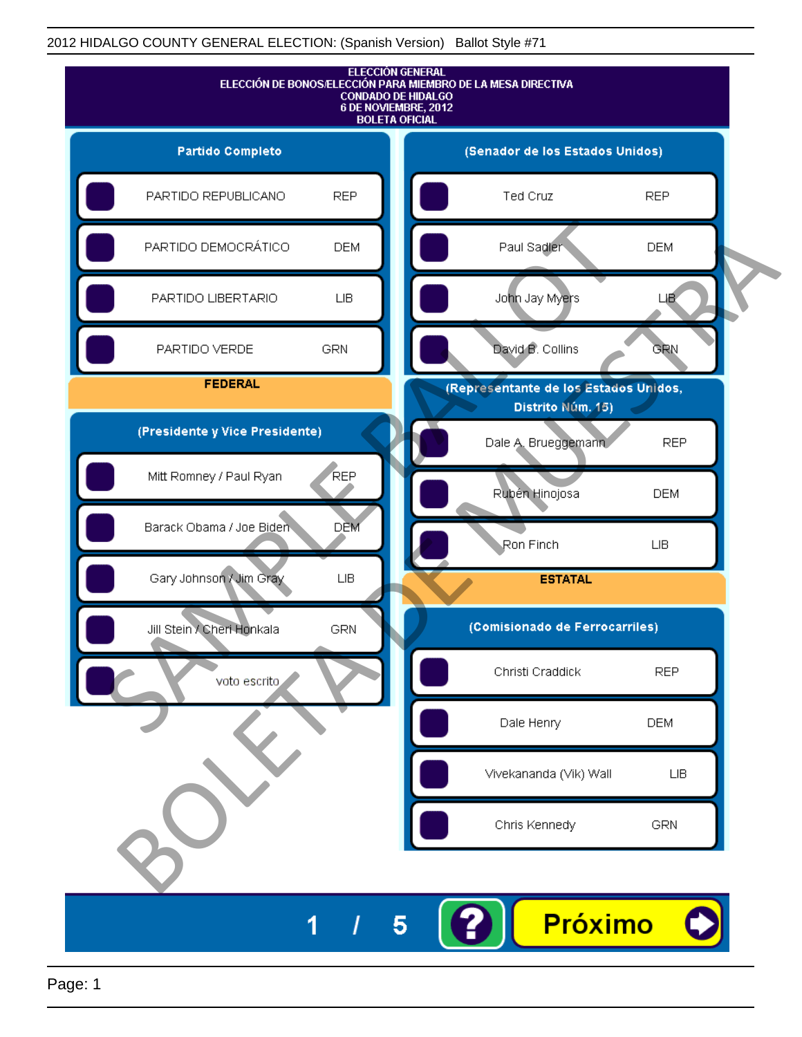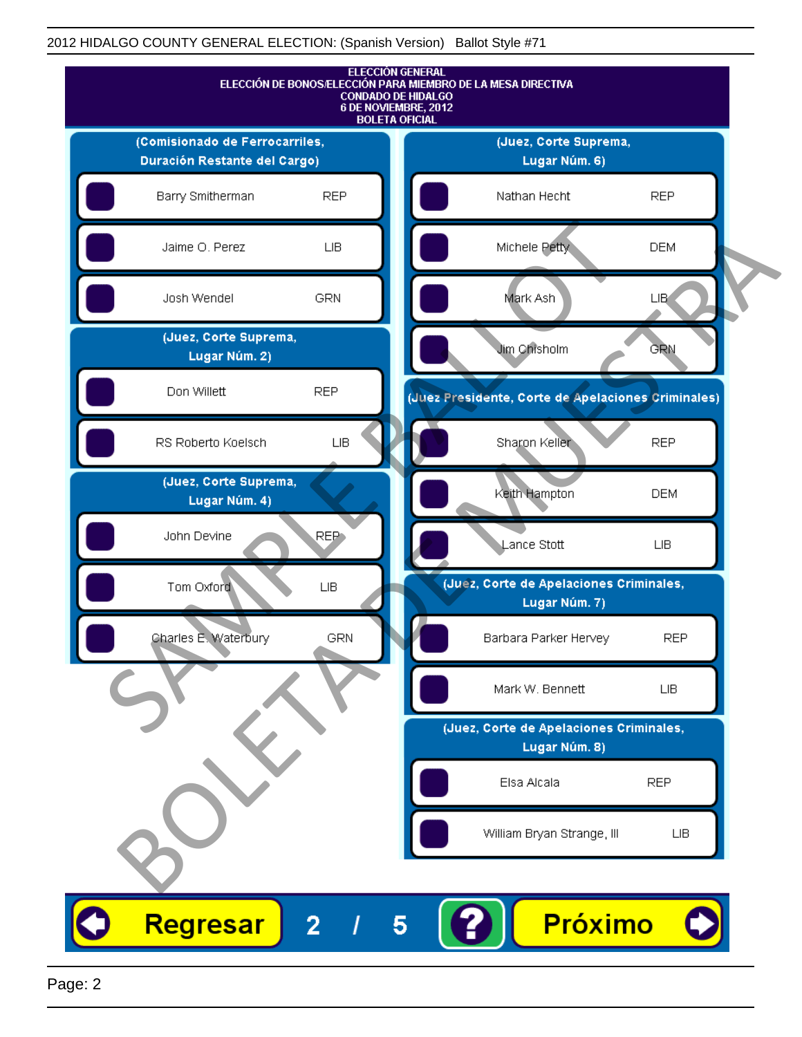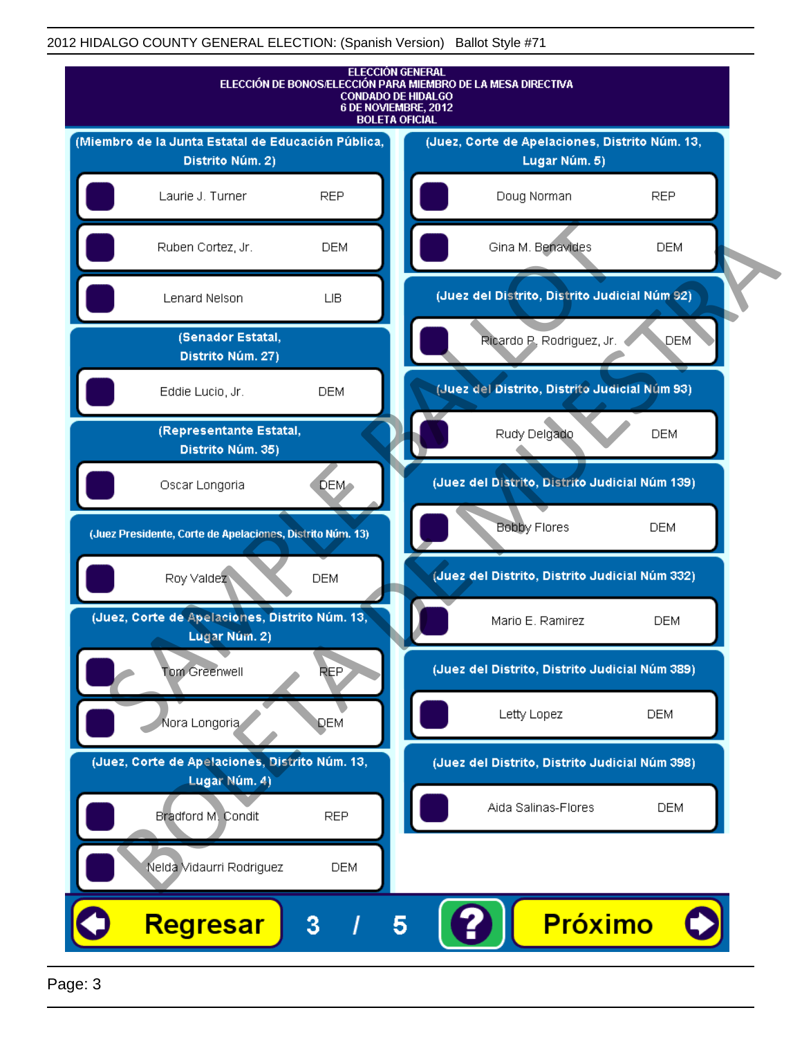

Page: 3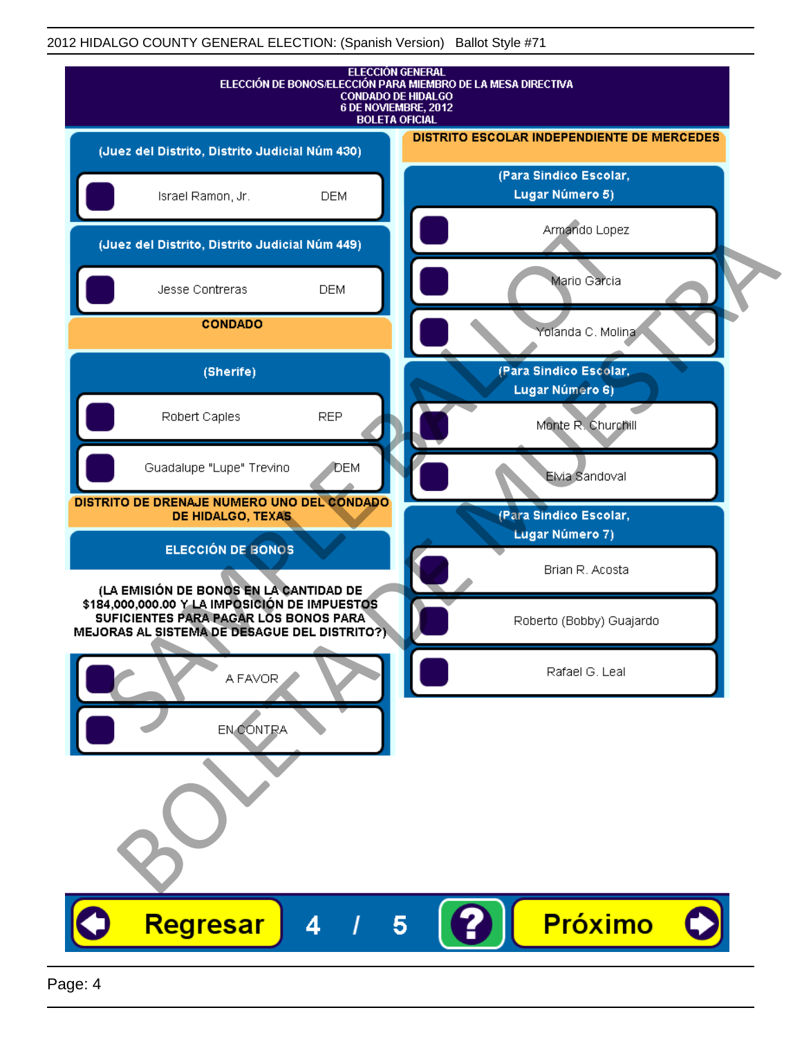| <b>ELECCIÓN GENERAL</b><br>ELECCIÓN DE BONOS/ELECCIÓN PARA MIEMBRO DE LA MESA DIRECTIVA<br><b>CONDADO DE HIDALGO</b><br>6 DE NOVIEMBRE, 2012<br><b>BOLETA OFICIAL</b>           |                                                  |
|---------------------------------------------------------------------------------------------------------------------------------------------------------------------------------|--------------------------------------------------|
| (Juez del Distrito, Distrito Judicial Núm 430)                                                                                                                                  | DISTRITO ESCOLAR INDEPENDIENTE DE MERCEDES       |
| Israel Ramon, Jr.<br><b>DEM</b>                                                                                                                                                 | (Para Sindico Escolar,<br>Lugar Número 5)        |
| (Juez del Distrito, Distrito Judicial Núm 449)                                                                                                                                  | Armando Lopez                                    |
| Jesse Contreras<br><b>DEM</b>                                                                                                                                                   | Mario Garcia                                     |
| <b>CONDADO</b>                                                                                                                                                                  | Yolanda C. Molina                                |
| (Sherife)                                                                                                                                                                       | (Para Sindico Escolar,<br>Lugar Número 6)        |
| <b>REP</b><br>Robert Caples                                                                                                                                                     | Monte R. Churchill                               |
| Guadalupe "Lupe" Trevino<br><b>J</b> DEM                                                                                                                                        | Elvia Sandoval                                   |
| DISTRITO DE DRENAJE NUMERO UNO DEL CONDADO<br>DE HIDALGO, TEXAS                                                                                                                 | (Para Sindico Escolar,<br><b>Lugar Número 7)</b> |
| <b>ELECCIÓN DE BONOS</b>                                                                                                                                                        | Brian R. Acosta                                  |
| (LA EMISIÓN DE BONOS EN LA CANTIDAD DE<br>\$184,000,000.00 Y LA IMPOSICIÓN DE IMPUESTOS<br>SUFICIENTES PARA PAGAR LOS BONOS PARA<br>MEJORAS AL SISTEMA DE DESAGUE DEL DISTRITO? | Roberto (Bobby) Guajardo                         |
| A FAVOR                                                                                                                                                                         | Rafael G. Leal                                   |
| <b>EN CONTRA</b>                                                                                                                                                                |                                                  |
|                                                                                                                                                                                 |                                                  |
| Regresar<br>4                                                                                                                                                                   | <b>Próximo</b>                                   |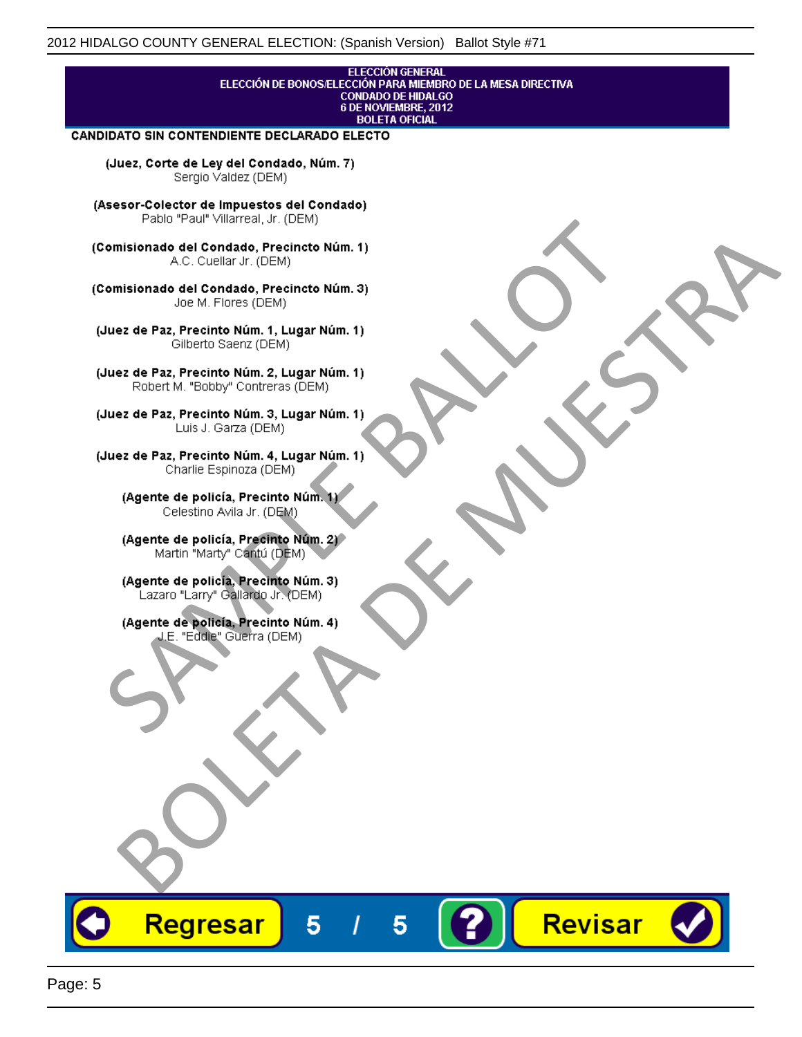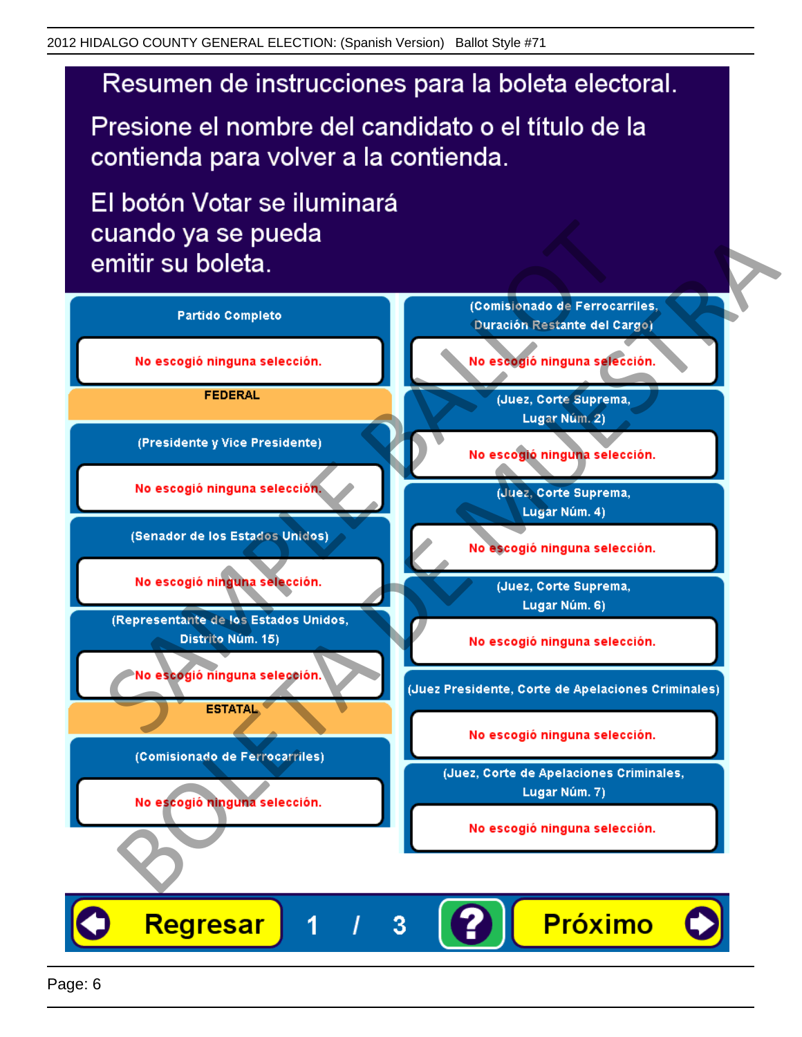# Resumen de instrucciones para la boleta electoral.

Presione el nombre del candidato o el título de la contienda para volver a la contienda.

El botón Votar se iluminará

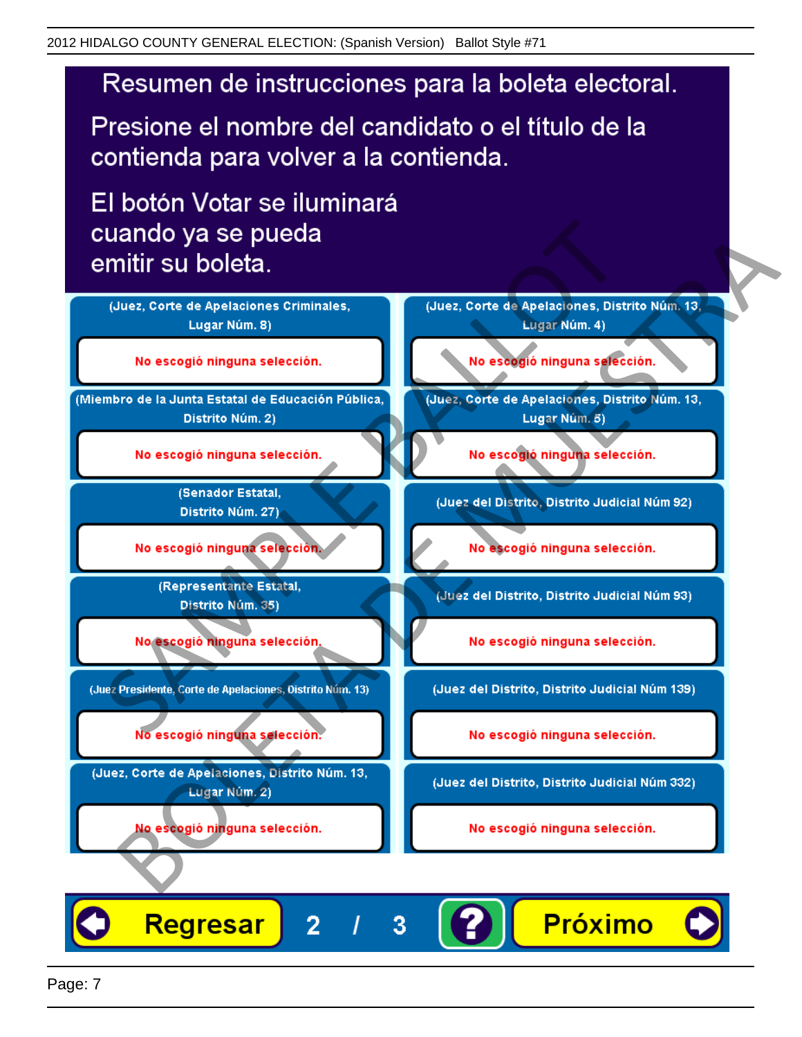# Resumen de instrucciones para la boleta electoral.

Presione el nombre del candidato o el título de la contienda para volver a la contienda.

El botón Votar se iluminará